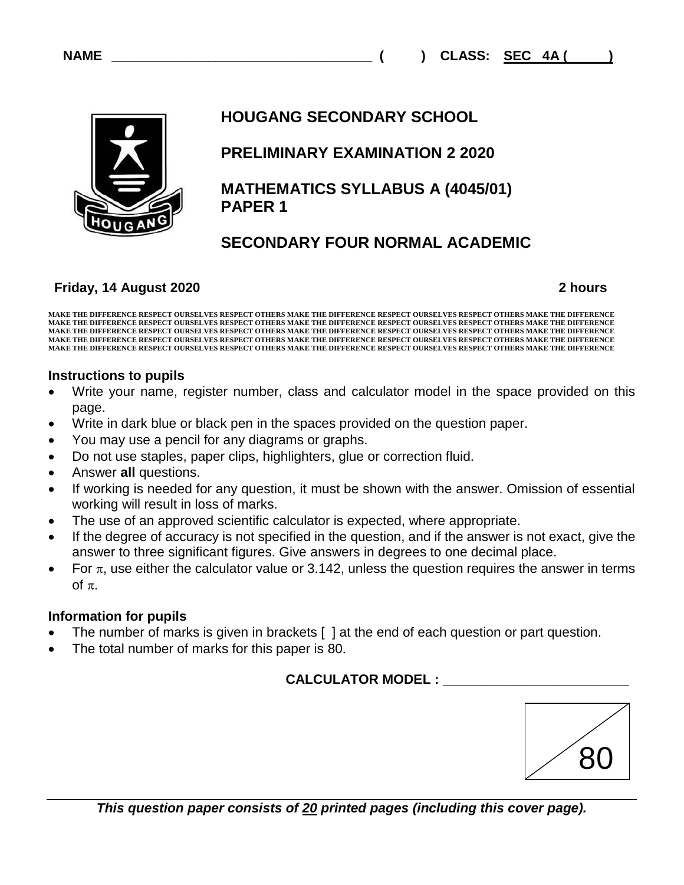**CLASS: SEC 4A ( )** 



# **HOUGANG SECONDARY SCHOOL**

# **PRELIMINARY EXAMINATION 2 2020**

 **MATHEMATICS SYLLABUS A (4045/01) PAPER 1**

# **SECONDARY FOUR NORMAL ACADEMIC**

## **Friday, 14 August 2020**

 **2 hours**

**MAKE THE DIFFERENCE RESPECT OURSELVES RESPECT OTHERS MAKE THE DIFFERENCE RESPECT OURSELVES RESPECT OTHERS MAKE THE DIFFERENCE MAKE THE DIFFERENCE RESPECT OURSELVES RESPECT OTHERS MAKE THE DIFFERENCE RESPECT OURSELVES RESPECT OTHERS MAKE THE DIFFERENCE MAKE THE DIFFERENCE RESPECT OURSELVES RESPECT OTHERS MAKE THE DIFFERENCE RESPECT OURSELVES RESPECT OTHERS MAKE THE DIFFERENCE MAKE THE DIFFERENCE RESPECT OURSELVES RESPECT OTHERS MAKE THE DIFFERENCE RESPECT OURSELVES RESPECT OTHERS MAKE THE DIFFERENCE MAKE THE DIFFERENCE RESPECT OURSELVES RESPECT OTHERS MAKE THE DIFFERENCE RESPECT OURSELVES RESPECT OTHERS MAKE THE DIFFERENCE** 

## **Instructions to pupils**

- Write your name, register number, class and calculator model in the space provided on this page.
- Write in dark blue or black pen in the spaces provided on the question paper.
- You may use a pencil for any diagrams or graphs.
- Do not use staples, paper clips, highlighters, glue or correction fluid.
- Answer **all** questions.
- If working is needed for any question, it must be shown with the answer. Omission of essential working will result in loss of marks.
- The use of an approved scientific calculator is expected, where appropriate.
- If the degree of accuracy is not specified in the question, and if the answer is not exact, give the answer to three significant figures. Give answers in degrees to one decimal place.
- For  $\pi$ , use either the calculator value or 3.142, unless the question requires the answer in terms of  $\pi$ .

## **Information for pupils**

- The number of marks is given in brackets [ ] at the end of each question or part question.
- The total number of marks for this paper is 80.

# **CALCULATOR MODEL : \_\_\_\_\_\_\_\_\_\_\_\_\_\_\_\_\_\_\_\_\_\_\_\_\_**

| X<br>$\blacksquare$ |
|---------------------|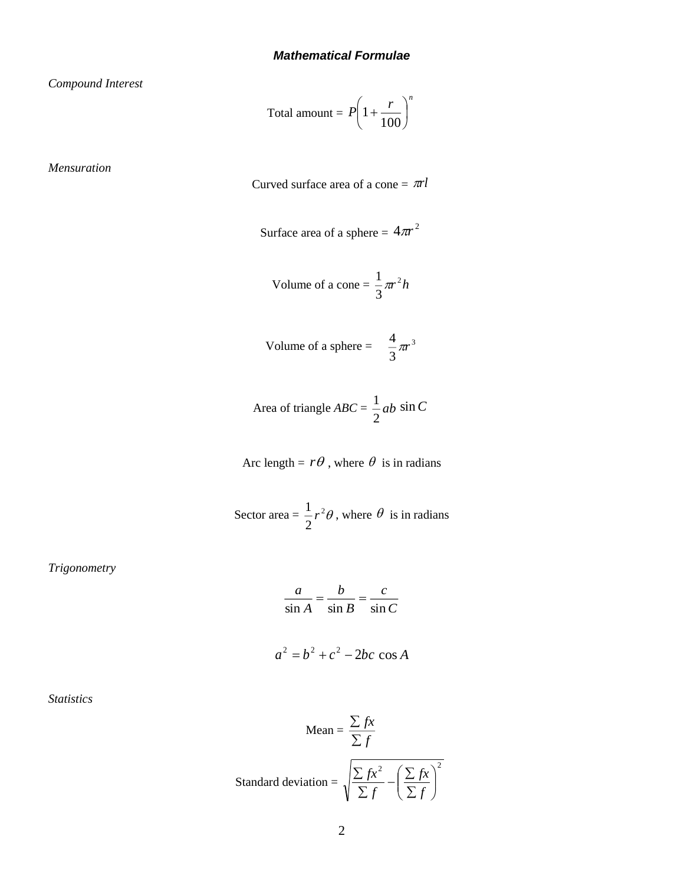*Compound Interest*

Total amount = 
$$
P\left(1 + \frac{r}{100}\right)^n
$$

*Mensuration* 

Curved surface area of a cone  $= \pi r l$ 

Surface area of a sphere = 
$$
4\pi r^2
$$

Volume of a cone = 
$$
\frac{1}{3}\pi r^2 h
$$

Volume of a sphere = 
$$
\frac{4}{3}\pi r^3
$$

Area of triangle 
$$
ABC = \frac{1}{2}ab \sin C
$$

Arc length =  $r\theta$ , where  $\theta$  is in radians

Sector area =  $\frac{1}{x}r^2\theta$ , where  $\theta$  is in radians 2  $\frac{1}{2}r^2\theta$ , where  $\theta$ 

*Trigonometry*

$$
\frac{a}{\sin A} = \frac{b}{\sin B} = \frac{c}{\sin C}
$$

$$
a^2 = b^2 + c^2 - 2bc \cos A
$$

*Statistics*

Mean = 
$$
\frac{\sum fx}{\sum f}
$$
  
Standard deviation = 
$$
\sqrt{\frac{\sum fx^2}{\sum f} - (\frac{\sum fx}{\sum f})^2}
$$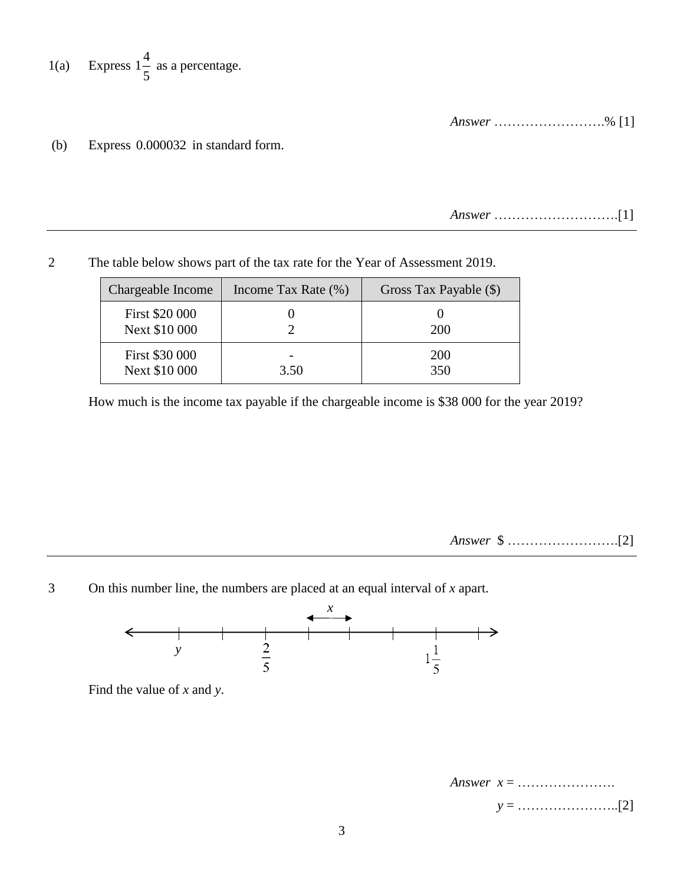1(a) Express 
$$
1\frac{4}{5}
$$
 as a percentage.

*Answer* …………………….% [1]

(b) Express 0.000032 in standard form.

*Answer* ……………………….[1]

2 The table below shows part of the tax rate for the Year of Assessment 2019.

| Chargeable Income               | Income Tax Rate $(\%)$ | Gross Tax Payable (\$) |
|---------------------------------|------------------------|------------------------|
| First \$20 000<br>Next \$10 000 |                        | <b>200</b>             |
| First \$30 000<br>Next \$10 000 | 3.50                   | <b>200</b><br>350      |

How much is the income tax payable if the chargeable income is \$38 000 for the year 2019?

*Answer* \$ …………………….[2]

3 On this number line, the numbers are placed at an equal interval of *x* apart.



Find the value of *x* and *y*.

*Answer x* = …………………. *y* = …………………..[2]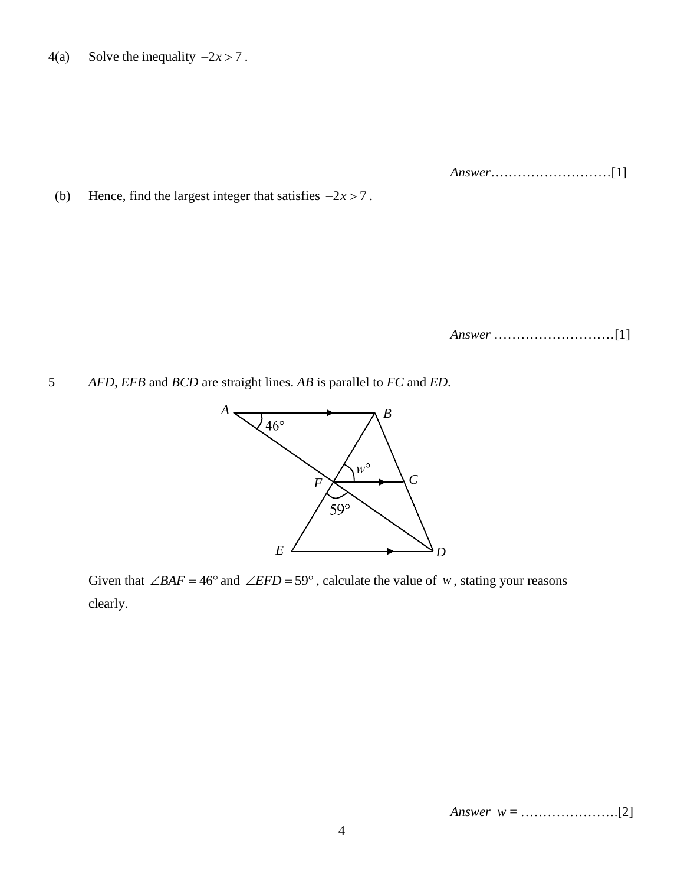4(a) Solve the inequality  $-2x > 7$ .

*Answer*………………………[1]

(b) Hence, find the largest integer that satisfies  $-2x > 7$ .

*Answer* ………………………[1]

5 *AFD*, *EFB* and *BCD* are straight lines. *AB* is parallel to *FC* and *ED*.



Given that  $\angle BAF = 46^{\circ}$  and  $\angle EFD = 59^{\circ}$ , calculate the value of *w*, stating your reasons clearly.

*Answer w* = ………………….[2]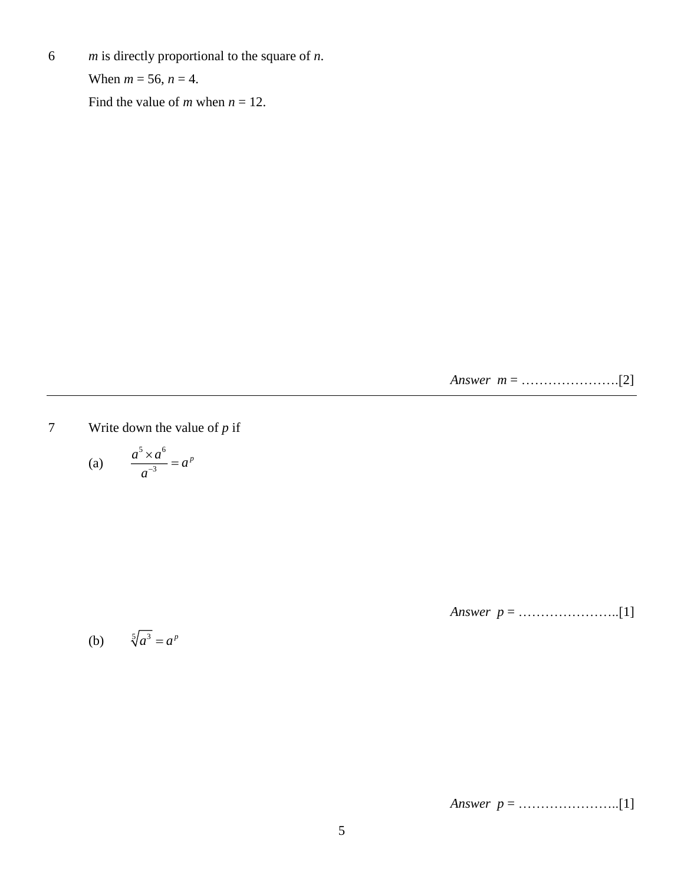6 *m* is directly proportional to the square of *n*.

When  $m = 56$ ,  $n = 4$ .

Find the value of *m* when  $n = 12$ .

*Answer m* = ………………….[2]

7 Write down the value of *p* if

$$
\text{(a)} \qquad \frac{a^5 \times a^6}{a^{-3}} = a^p
$$

*Answer p* = …………………..[1]

(b) 
$$
\sqrt[5]{a^3} = a^p
$$

*Answer p* = …………………..[1]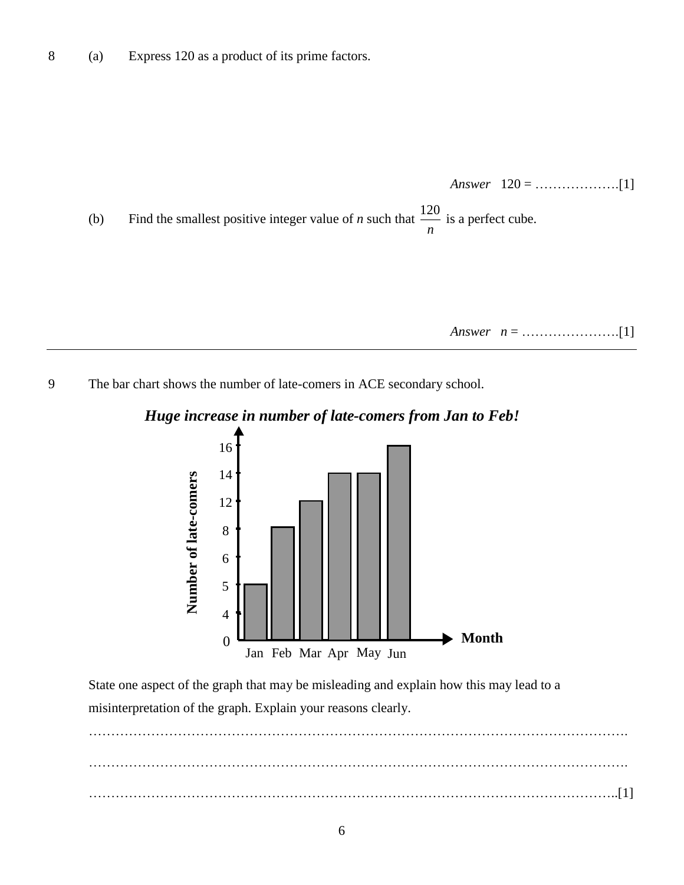

9 The bar chart shows the number of late-comers in ACE secondary school.

## *Huge increase in number of late-comers from Jan to Feb!*



State one aspect of the graph that may be misleading and explain how this may lead to a misinterpretation of the graph. Explain your reasons clearly.

…………………………………………………………………………………………………………. …………………………………………………………………………………………………………. ………………………………………………………………………………………………………..[1]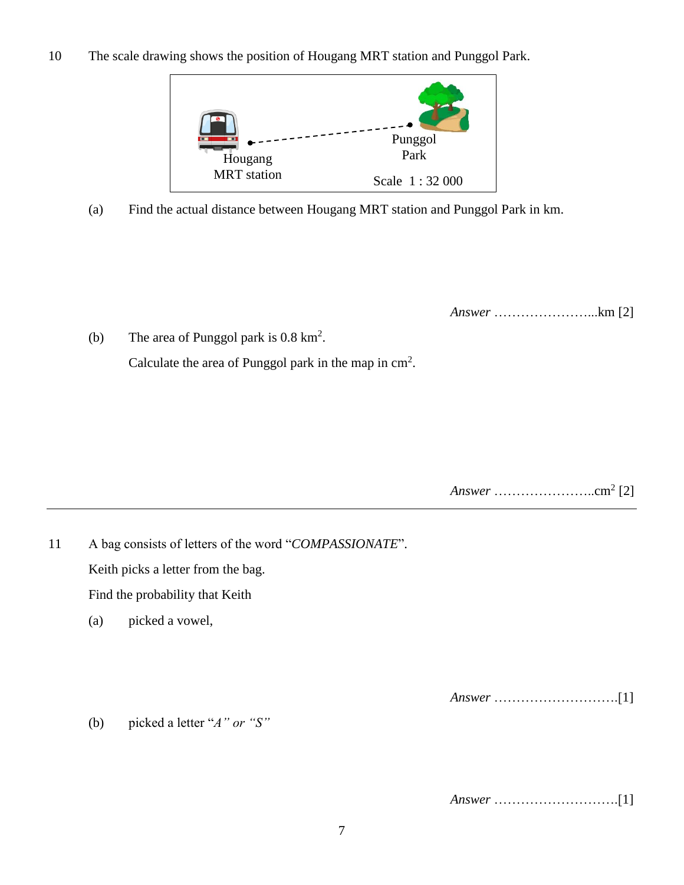10 The scale drawing shows the position of Hougang MRT station and Punggol Park.



(a) Find the actual distance between Hougang MRT station and Punggol Park in km.

*Answer* …………………...km [2]

(b) The area of Punggol park is  $0.8 \text{ km}^2$ . Calculate the area of Punggol park in the map in  $\text{cm}^2$ .

*Answer* …………………..cm<sup>2</sup> [2]

11 A bag consists of letters of the word "*COMPASSIONATE*". Keith picks a letter from the bag. Find the probability that Keith (a) picked a vowel,

*Answer* ……………………….[1]

(b) picked a letter "*A" or "S"*

*Answer* ……………………….[1]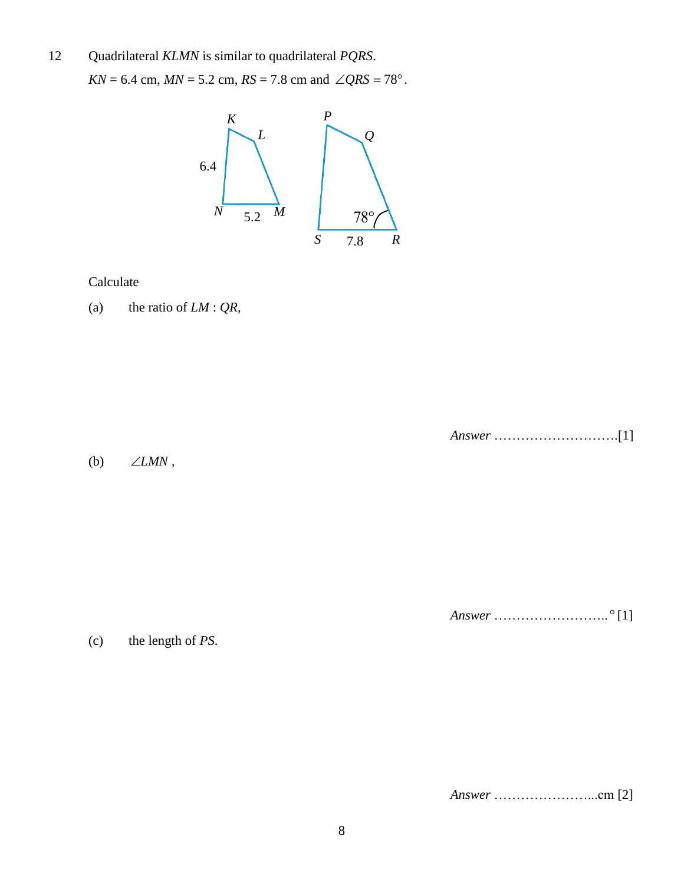#### 12 Quadrilateral *KLMN* is similar to quadrilateral *PQRS*.

 $KN = 6.4$  cm,  $MN = 5.2$  cm,  $RS = 7.8$  cm and  $\angle QRS = 78^{\circ}$ .



### Calculate

(a) the ratio of *LM* : *QR*,

*Answer* ……………………….[1]

(b) *LMN* ,

*Answer* …………………….. [1]

(c) the length of *PS*.

*Answer* …………………...cm [2]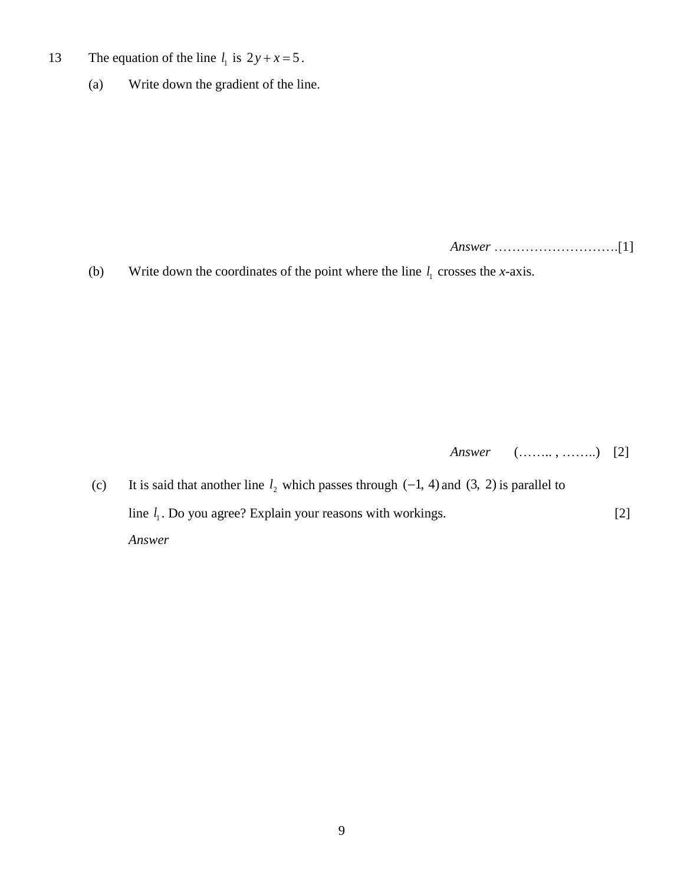- 13 The equation of the line  $l_1$  is  $2y + x = 5$ .
	- (a) Write down the gradient of the line.

*Answer* ……………………….[1]

(b) Write down the coordinates of the point where the line  $l_1$  crosses the *x*-axis.

*Answer* (…….. , ……..) [2]

(c) It is said that another line  $l_2$  which passes through  $(-1, 4)$  and  $(3, 2)$  is parallel to line  $l_1$ . Do you agree? Explain your reasons with workings. [2] *Answer*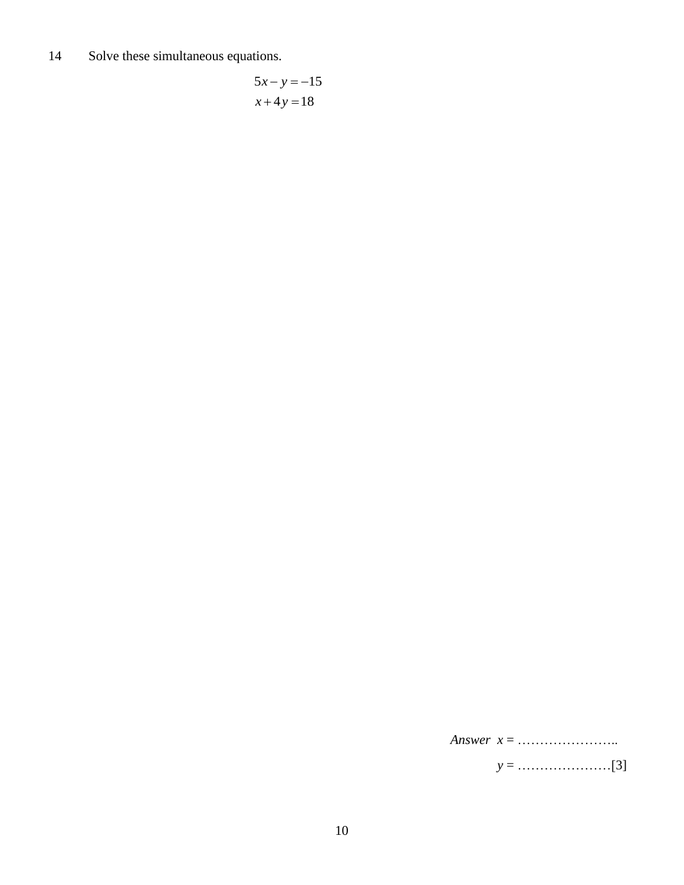14 Solve these simultaneous equations.

$$
5x - y = -15
$$

$$
x + 4y = 18
$$

*Answer x* = …………………..

*y* = …………………[3]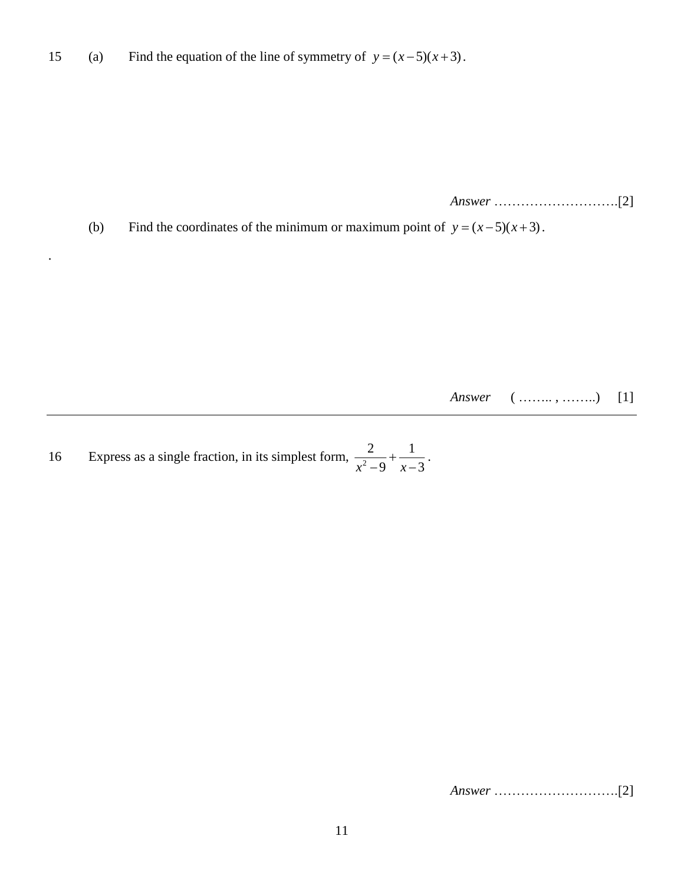15 (a) Find the equation of the line of symmetry of  $y = (x-5)(x+3)$ .

*Answer* ……………………….[2]

(b) Find the coordinates of the minimum or maximum point of  $y = (x-5)(x+3)$ .

*Answer* ( ……., ……..) [1]

16 Express as a single fraction, in its simplest form,  $\frac{1}{2}$ 2 1  $\frac{2}{x^2-9} + \frac{1}{x-3}$ .

.

*Answer* ……………………….[2]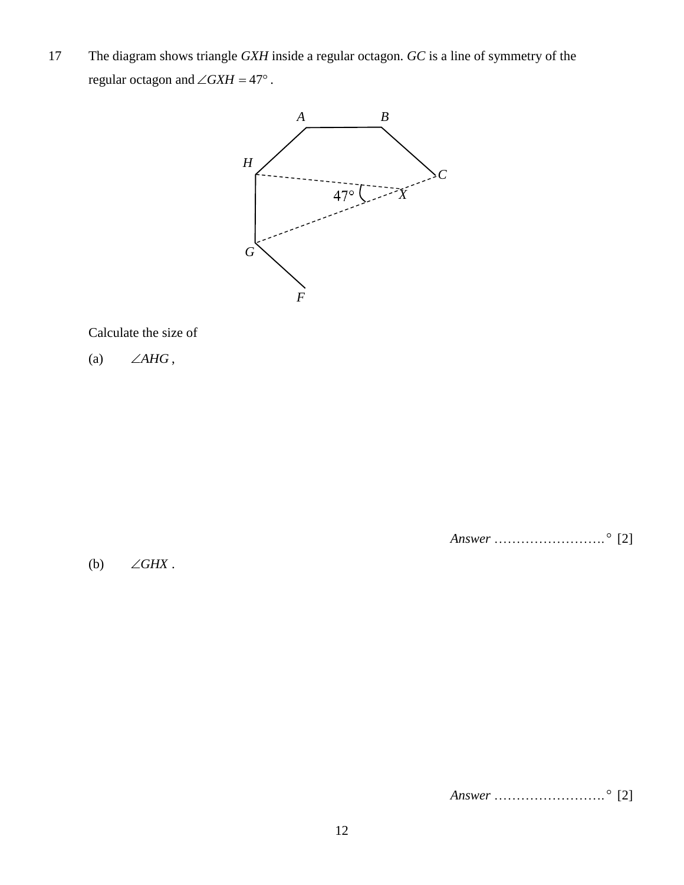17 The diagram shows triangle *GXH* inside a regular octagon. *GC* is a line of symmetry of the regular octagon and  $\angle G X H = 47^\circ$ .



### Calculate the size of

(a)  $\angle AHG$ ,

(b)  $\angle GHX$  . *Answer* ……………………. [2]

*Answer* ……………………. [2]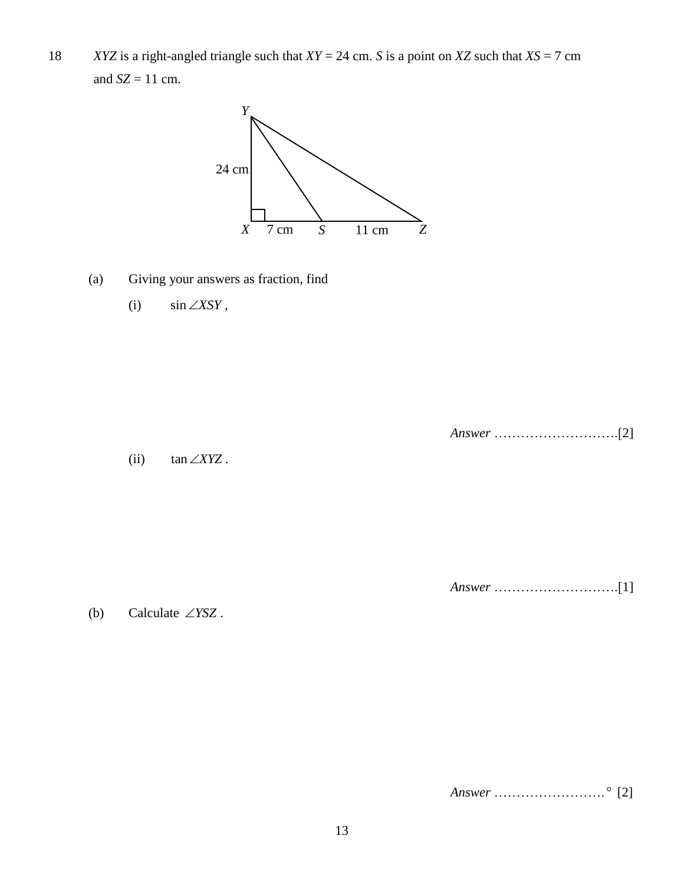18 *XYZ* is a right-angled triangle such that *XY* = 24 cm. *S* is a point on *XZ* such that *XS* = 7 cm and  $SZ = 11$  cm.



- (a) Giving your answers as fraction, find
	- (i) sin*XSY* ,

*Answer* ……………………….[2]

(ii) tan*XYZ* .

*Answer* ……………………….[1]

(b) Calculate *YSZ* .

*Answer* ……………………. [2]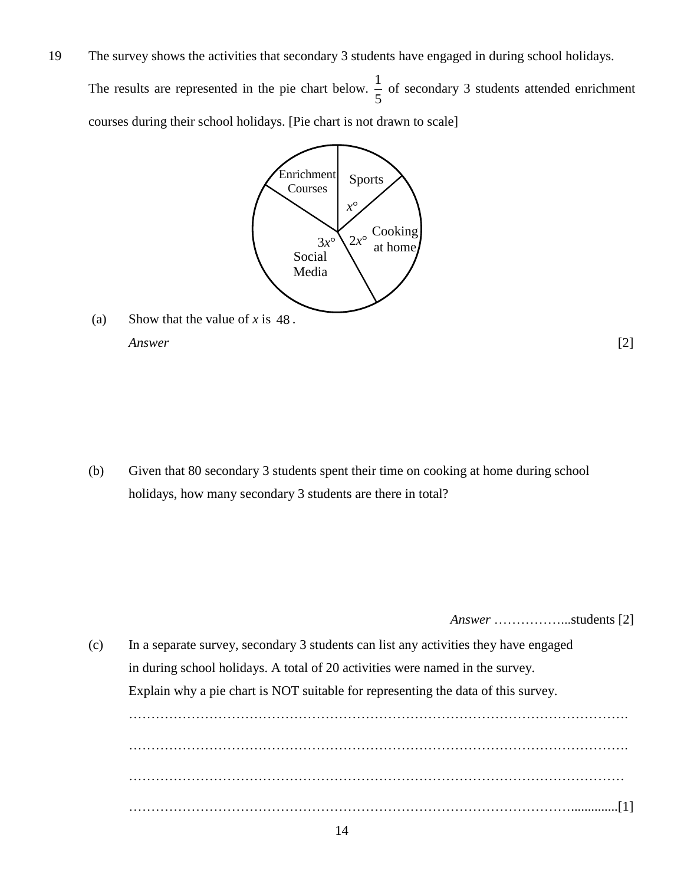19 The survey shows the activities that secondary 3 students have engaged in during school holidays.

The results are represented in the pie chart below.  $\frac{1}{2}$  $\frac{1}{5}$  of secondary 3 students attended enrichment courses during their school holidays. [Pie chart is not drawn to scale]



(a) Show that the value of  $x$  is 48. *Answer* [2]

(b) Given that 80 secondary 3 students spent their time on cooking at home during school holidays, how many secondary 3 students are there in total?

*Answer* ……………...students [2]

(c) In a separate survey, secondary 3 students can list any activities they have engaged in during school holidays. A total of 20 activities were named in the survey. Explain why a pie chart is NOT suitable for representing the data of this survey. …………………………………………………………………………………………………. …………………………………………………………………………………………………. ………………………………………………………………………………………………… ………………………………………………………………………………………..............[1]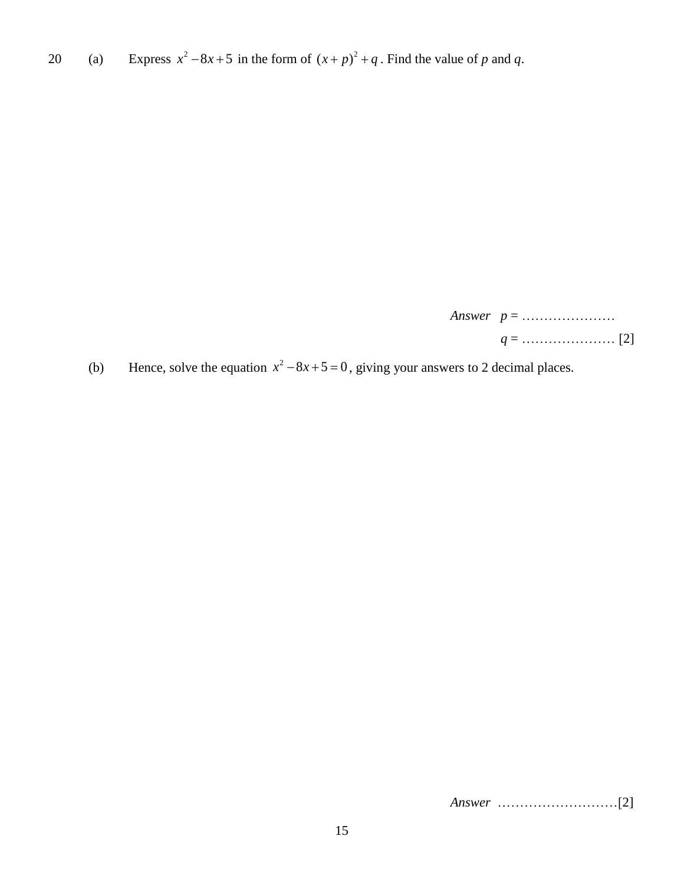20 (a) Express  $x^2 - 8x + 5$  in the form of  $(x+p)^2 + q$ . Find the value of p and q.

*Answer p* = ………………… *q* = ………………… [2]

(b) Hence, solve the equation  $x^2 - 8x + 5 = 0$ , giving your answers to 2 decimal places.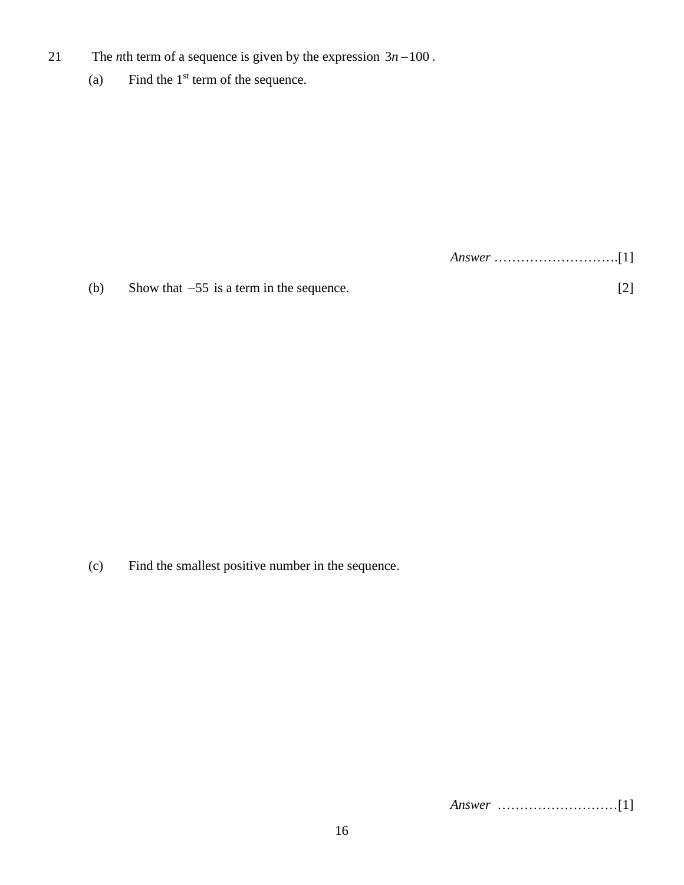- 21 The *n*th term of a sequence is given by the expression  $3n 100$ .
	- (a) Find the  $1<sup>st</sup>$  term of the sequence.

*Answer* ……………………….[1]

(b) Show that  $-55$  is a term in the sequence. [2]

(c) Find the smallest positive number in the sequence.

*Answer* ………………………[1]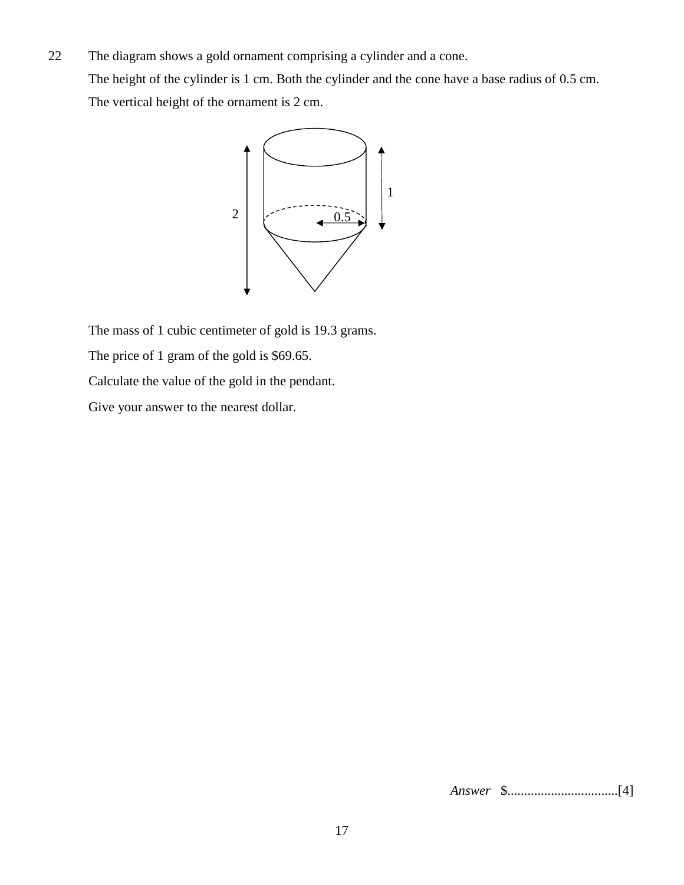22 The diagram shows a gold ornament comprising a cylinder and a cone. The height of the cylinder is 1 cm. Both the cylinder and the cone have a base radius of 0.5 cm. The vertical height of the ornament is 2 cm.



The mass of 1 cubic centimeter of gold is 19.3 grams. The price of 1 gram of the gold is \$69.65. Calculate the value of the gold in the pendant.

Give your answer to the nearest dollar.

*Answer* \$.................................[4]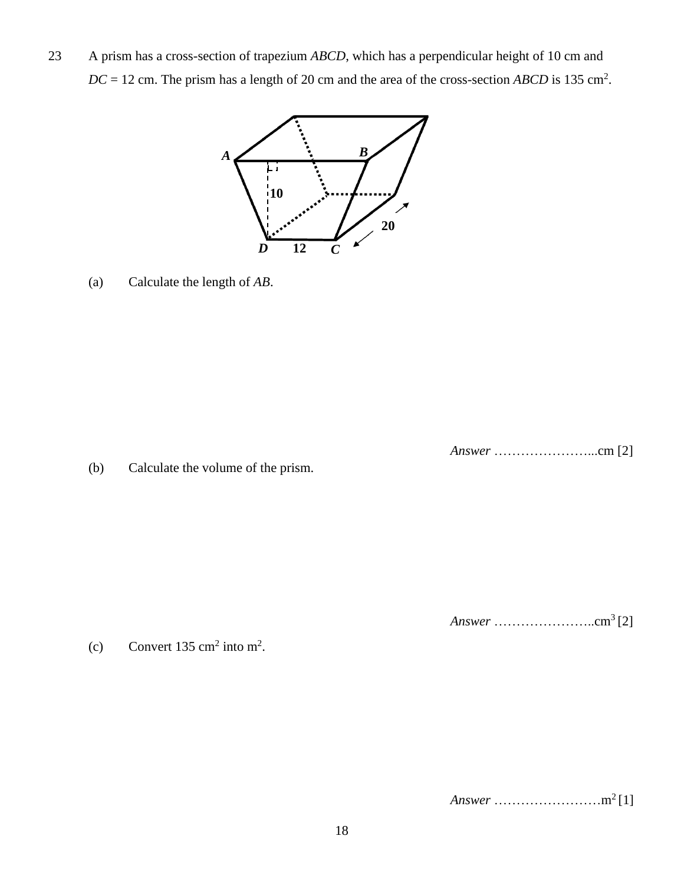23 A prism has a cross-section of trapezium *ABCD*, which has a perpendicular height of 10 cm and  $DC = 12$  cm. The prism has a length of 20 cm and the area of the cross-section *ABCD* is 135 cm<sup>2</sup>.



(a) Calculate the length of *AB*.

*Answer* …………………...cm [2]

(b) Calculate the volume of the prism.

*Answer* …………………..cm<sup>3</sup>[2]

(c) Convert 135 cm<sup>2</sup> into m<sup>2</sup>.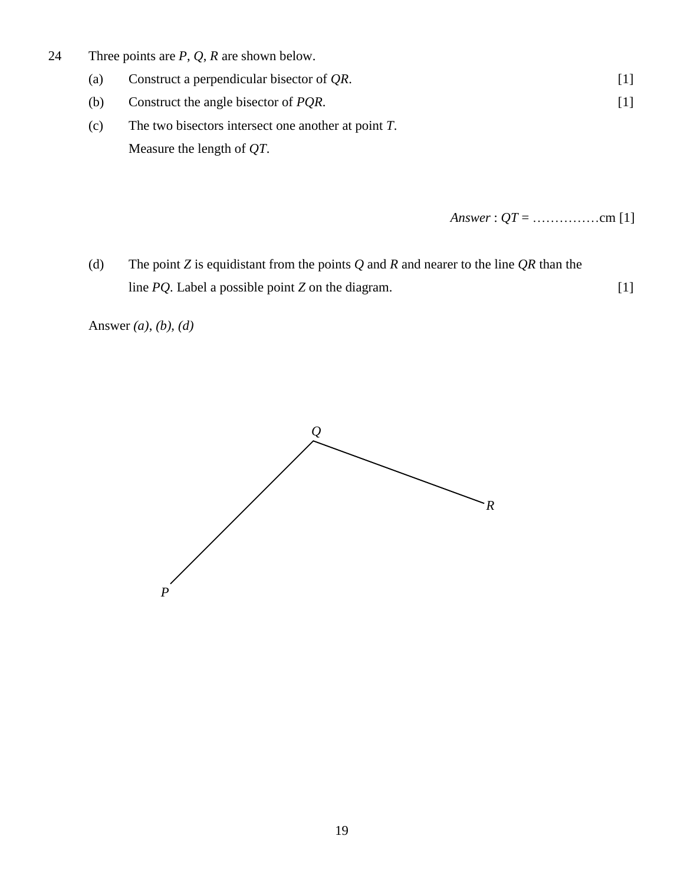- 24 Three points are *P*, *Q*, *R* are shown below.
	- (a) Construct a perpendicular bisector of *QR*. [1]
	- (b) Construct the angle bisector of *PQR*. [1]
	- (c) The two bisectors intersect one another at point *T*. Measure the length of *QT*.

*Answer* : *QT* = ……………cm [1]

(d) The point *Z* is equidistant from the points *Q* and *R* and nearer to the line *QR* than the line *PQ*. Label a possible point *Z* on the diagram. [1]

Answer *(a)*, *(b), (d)*